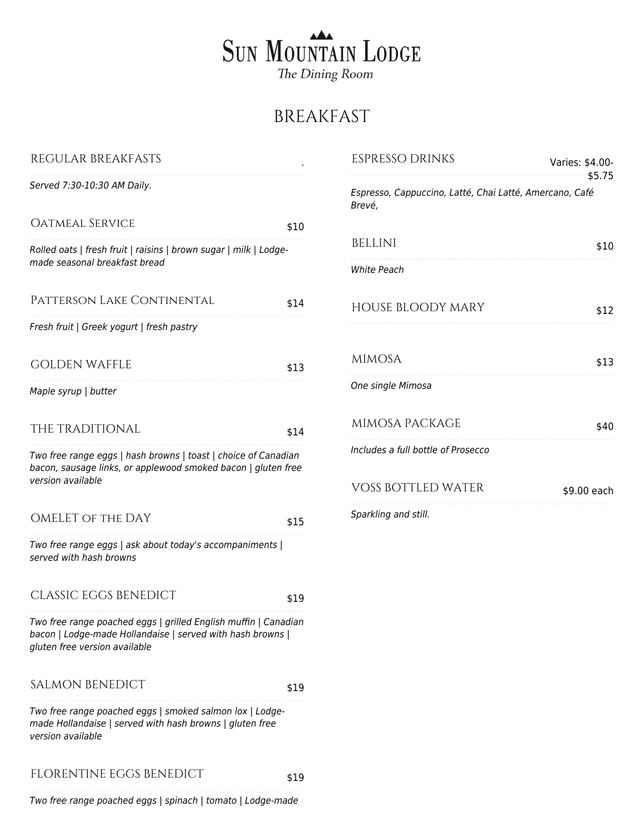## SUN MOUNTAIN LODGE The Dining Room

## BREAKFAST

| REGULAR BREAKFASTS                                                                                                                                             |      | <b>ESPRESSO DRINKS</b>                                            | Varies: \$4.00-<br>\$5.75 |
|----------------------------------------------------------------------------------------------------------------------------------------------------------------|------|-------------------------------------------------------------------|---------------------------|
| Served 7:30-10:30 AM Daily.                                                                                                                                    |      | Espresso, Cappuccino, Latté, Chai Latté, Amercano, Café<br>Brevé, |                           |
| OATMEAL SERVICE                                                                                                                                                | \$10 |                                                                   |                           |
| Rolled oats   fresh fruit   raisins   brown sugar   milk   Lodge-                                                                                              |      | <b>BELLINI</b>                                                    | \$10                      |
| made seasonal breakfast bread                                                                                                                                  |      | White Peach                                                       |                           |
| PATTERSON LAKE CONTINENTAL                                                                                                                                     | \$14 | <b>HOUSE BLOODY MARY</b>                                          | \$12                      |
| Fresh fruit   Greek yogurt   fresh pastry                                                                                                                      |      |                                                                   |                           |
| <b>GOLDEN WAFFLE</b>                                                                                                                                           | \$13 | <b>MIMOSA</b>                                                     | \$13                      |
| Maple syrup   butter                                                                                                                                           |      | One single Mimosa                                                 |                           |
| THE TRADITIONAL                                                                                                                                                | \$14 | MIMOSA PACKAGE                                                    | \$40                      |
| Two free range eggs   hash browns   toast   choice of Canadian<br>bacon, sausage links, or applewood smoked bacon   gluten free<br>version available           |      | Includes a full bottle of Prosecco                                |                           |
|                                                                                                                                                                |      | <b>VOSS BOTTLED WATER</b>                                         | \$9.00 each               |
| OMELET OF THE DAY                                                                                                                                              | \$15 | Sparkling and still.                                              |                           |
| Two free range eggs   ask about today's accompaniments  <br>served with hash browns                                                                            |      |                                                                   |                           |
| <b>CLASSIC EGGS BENEDICT</b>                                                                                                                                   | \$19 |                                                                   |                           |
| Two free range poached eggs   grilled English muffin   Canadian<br>bacon   Lodge-made Hollandaise   served with hash browns  <br>gluten free version available |      |                                                                   |                           |
| <b>SALMON BENEDICT</b>                                                                                                                                         | \$19 |                                                                   |                           |
| Two free range poached eggs   smoked salmon lox   Lodge-<br>made Hollandaise   served with hash browns   gluten free<br>version available                      |      |                                                                   |                           |
| FLORENTINE EGGS BENEDICT                                                                                                                                       | \$19 |                                                                   |                           |